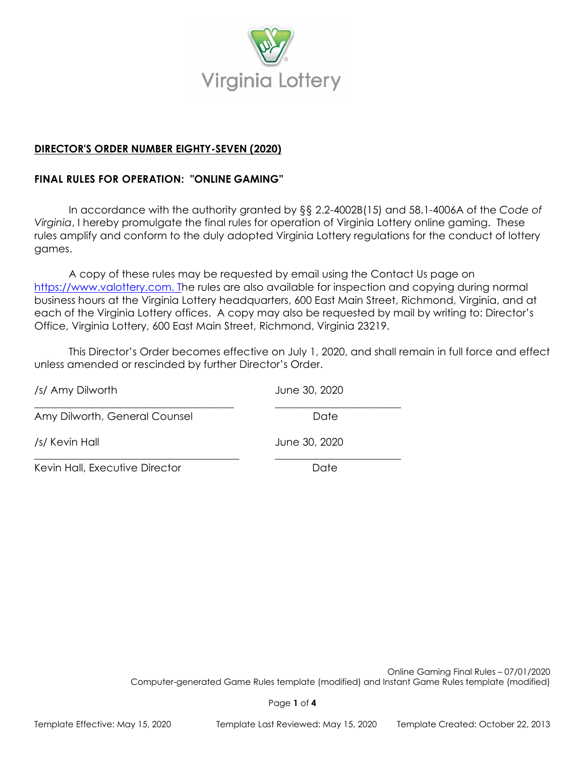

# **DIRECTOR'S ORDER NUMBER EIGHTY-SEVEN (2020)**

# **FINAL RULES FOR OPERATION: "ONLINE GAMING"**

In accordance with the authority granted by §§ 2.2-4002B(15) and 58.1-4006A of the *Code of Virginia*, I hereby promulgate the final rules for operation of Virginia Lottery online gaming. These rules amplify and conform to the duly adopted Virginia Lottery regulations for the conduct of lottery games.

A copy of these rules may be requested by email using the Contact Us page on [https://www.valottery.com.](https://www.valottery.com/) The rules are also available for inspection and copying during normal business hours at the Virginia Lottery headquarters, 600 East Main Street, Richmond, Virginia, and at each of the Virginia Lottery offices. A copy may also be requested by mail by writing to: Director's Office, Virginia Lottery, 600 East Main Street, Richmond, Virginia 23219.

This Director's Order becomes effective on July 1, 2020, and shall remain in full force and effect unless amended or rescinded by further Director's Order.

| /s/ Amy Dilworth               | June 30, 2020 |
|--------------------------------|---------------|
| Amy Dilworth, General Counsel  | Date          |
| /s/ Kevin Hall                 | June 30, 2020 |
| Kevin Hall, Executive Director | Date          |

Online Gaming Final Rules – 07/01/2020 Computer-generated Game Rules template (modified) and Instant Game Rules template (modified)

Page **1** of **4**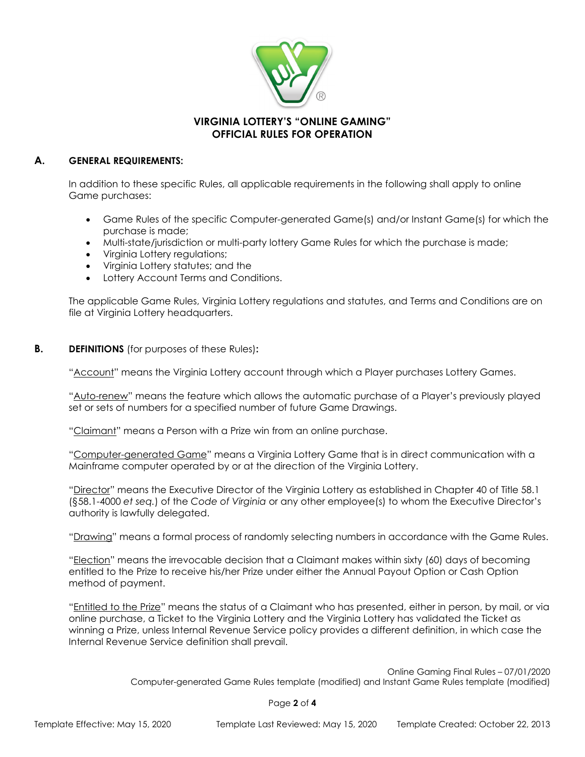

# **VIRGINIA LOTTERY'S "ONLINE GAMING" OFFICIAL RULES FOR OPERATION**

### **A. GENERAL REQUIREMENTS:**

In addition to these specific Rules, all applicable requirements in the following shall apply to online Game purchases:

- Game Rules of the specific Computer-generated Game(s) and/or Instant Game(s) for which the purchase is made;
- Multi-state/jurisdiction or multi-party lottery Game Rules for which the purchase is made;
- Virginia Lottery regulations;
- Virginia Lottery statutes; and the
- Lottery Account Terms and Conditions.

The applicable Game Rules, Virginia Lottery regulations and statutes, and Terms and Conditions are on file at Virginia Lottery headquarters.

#### **B. DEFINITIONS** (for purposes of these Rules)**:**

"Account" means the Virginia Lottery account through which a Player purchases Lottery Games.

"Auto-renew" means the feature which allows the automatic purchase of a Player's previously played set or sets of numbers for a specified number of future Game Drawings.

"Claimant" means a Person with a Prize win from an online purchase.

"Computer-generated Game" means a Virginia Lottery Game that is in direct communication with a Mainframe computer operated by or at the direction of the Virginia Lottery.

"Director" means the Executive Director of the Virginia Lottery as established in Chapter 40 of Title 58.1 (§58.1-4000 *et seq.*) of the *Code of Virginia* or any other employee(s) to whom the Executive Director's authority is lawfully delegated.

"Drawing" means a formal process of randomly selecting numbers in accordance with the Game Rules.

"Election" means the irrevocable decision that a Claimant makes within sixty (60) days of becoming entitled to the Prize to receive his/her Prize under either the Annual Payout Option or Cash Option method of payment.

"Entitled to the Prize" means the status of a Claimant who has presented, either in person, by mail, or via online purchase, a Ticket to the Virginia Lottery and the Virginia Lottery has validated the Ticket as winning a Prize, unless Internal Revenue Service policy provides a different definition, in which case the Internal Revenue Service definition shall prevail.

> Online Gaming Final Rules – 07/01/2020 Computer-generated Game Rules template (modified) and Instant Game Rules template (modified)

> > Page **2** of **4**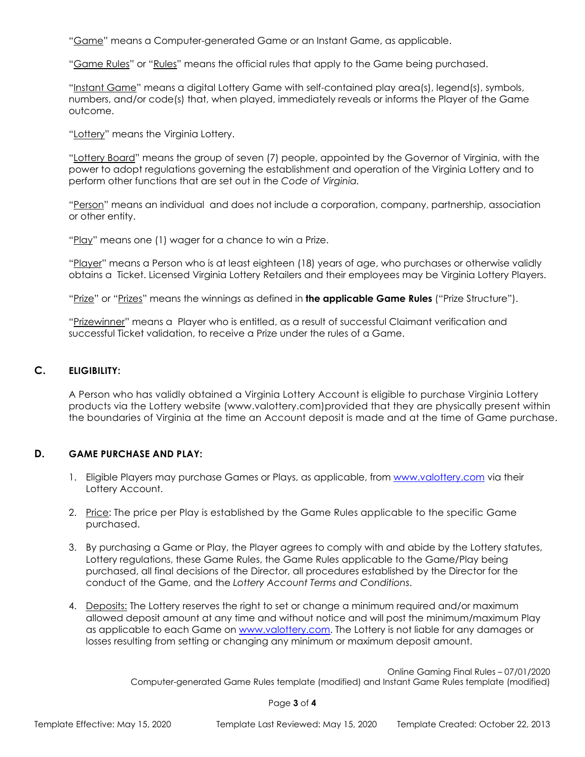"Game" means a Computer-generated Game or an Instant Game, as applicable.

"Game Rules" or "Rules" means the official rules that apply to the Game being purchased.

"Instant Game" means a digital Lottery Game with self-contained play area(s), legend(s), symbols, numbers, and/or code(s) that, when played, immediately reveals or informs the Player of the Game outcome.

"Lottery" means the Virginia Lottery.

"Lottery Board" means the group of seven (7) people, appointed by the Governor of Virginia, with the power to adopt regulations governing the establishment and operation of the Virginia Lottery and to perform other functions that are set out in the *Code of Virginia.*

"Person" means an individual and does not include a corporation, company, partnership, association or other entity.

"Play" means one (1) wager for a chance to win a Prize.

"Player" means a Person who is at least eighteen (18) years of age, who purchases or otherwise validly obtains a Ticket. Licensed Virginia Lottery Retailers and their employees may be Virginia Lottery Players.

"Prize" or "Prizes" means the winnings as defined in **the applicable Game Rules** ("Prize Structure").

"Prizewinner" means a Player who is entitled, as a result of successful Claimant verification and successful Ticket validation, to receive a Prize under the rules of a Game.

### **C. ELIGIBILITY:**

A Person who has validly obtained a Virginia Lottery Account is eligible to purchase Virginia Lottery products via the Lottery website (www.valottery.com)provided that they are physically present within the boundaries of Virginia at the time an Account deposit is made and at the time of Game purchase.

### **D. GAME PURCHASE AND PLAY:**

- 1. Eligible Players may purchase Games or Plays, as applicable, from [www.valottery.com](http://www.valottery.com/) via their Lottery Account.
- 2. Price: The price per Play is established by the Game Rules applicable to the specific Game purchased.
- 3. By purchasing a Game or Play, the Player agrees to comply with and abide by the Lottery statutes, Lottery regulations, these Game Rules, the Game Rules applicable to the Game/Play being purchased, all final decisions of the Director, all procedures established by the Director for the conduct of the Game, and the *Lottery Account Terms and Conditions*.
- 4. Deposits: The Lottery reserves the right to set or change a minimum required and/or maximum allowed deposit amount at any time and without notice and will post the minimum/maximum Play as applicable to each Game on [www.valottery.com.](http://www.valottery.com/) The Lottery is not liable for any damages or losses resulting from setting or changing any minimum or maximum deposit amount.

Online Gaming Final Rules – 07/01/2020

Computer-generated Game Rules template (modified) and Instant Game Rules template (modified)

Page **3** of **4**